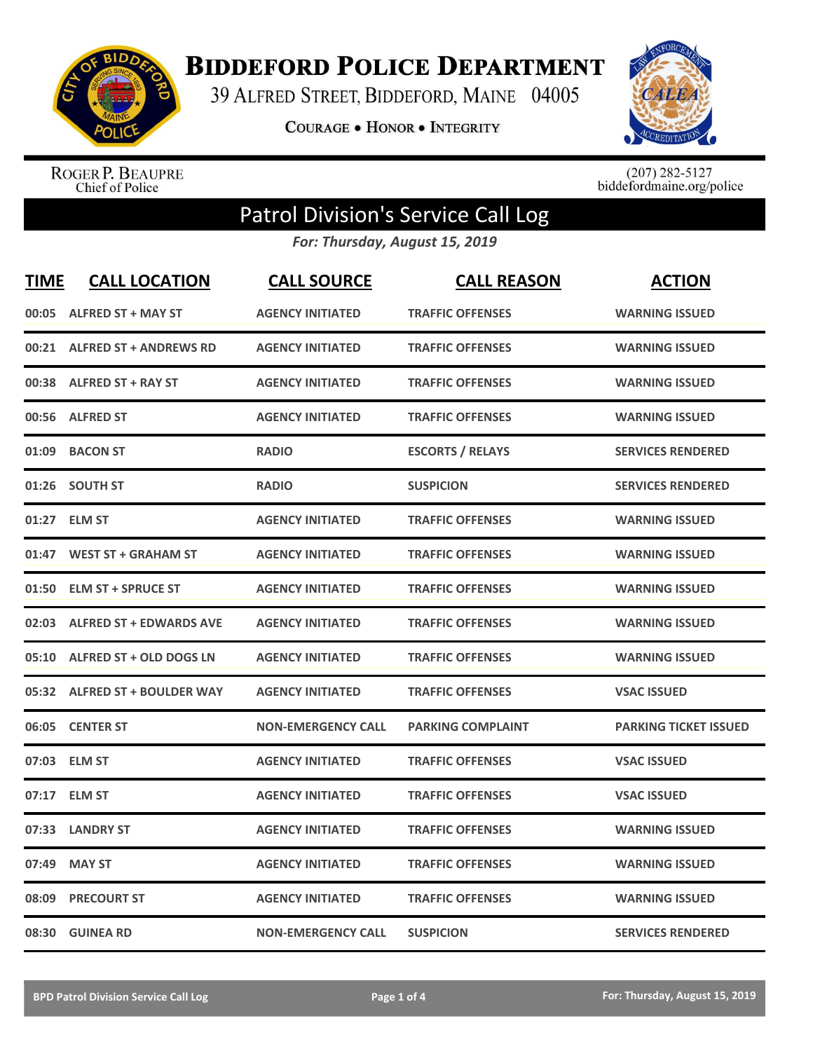

**BIDDEFORD POLICE DEPARTMENT** 

39 ALFRED STREET, BIDDEFORD, MAINE 04005

**COURAGE . HONOR . INTEGRITY** 



ROGER P. BEAUPRE<br>Chief of Police

 $(207)$  282-5127<br>biddefordmaine.org/police

## Patrol Division's Service Call Log

*For: Thursday, August 15, 2019*

| <b>TIME</b> | <b>CALL LOCATION</b>           | <b>CALL SOURCE</b>        | <b>CALL REASON</b>       | <b>ACTION</b>                |
|-------------|--------------------------------|---------------------------|--------------------------|------------------------------|
|             | 00:05 ALFRED ST + MAY ST       | <b>AGENCY INITIATED</b>   | <b>TRAFFIC OFFENSES</b>  | <b>WARNING ISSUED</b>        |
| 00:21       | <b>ALFRED ST + ANDREWS RD</b>  | <b>AGENCY INITIATED</b>   | <b>TRAFFIC OFFENSES</b>  | <b>WARNING ISSUED</b>        |
| 00:38       | <b>ALFRED ST + RAY ST</b>      | <b>AGENCY INITIATED</b>   | <b>TRAFFIC OFFENSES</b>  | <b>WARNING ISSUED</b>        |
| 00:56       | <b>ALFRED ST</b>               | <b>AGENCY INITIATED</b>   | <b>TRAFFIC OFFENSES</b>  | <b>WARNING ISSUED</b>        |
| 01:09       | <b>BACON ST</b>                | <b>RADIO</b>              | <b>ESCORTS / RELAYS</b>  | <b>SERVICES RENDERED</b>     |
| 01:26       | <b>SOUTH ST</b>                | <b>RADIO</b>              | <b>SUSPICION</b>         | <b>SERVICES RENDERED</b>     |
| 01:27       | <b>ELM ST</b>                  | <b>AGENCY INITIATED</b>   | <b>TRAFFIC OFFENSES</b>  | <b>WARNING ISSUED</b>        |
| 01:47       | <b>WEST ST + GRAHAM ST</b>     | <b>AGENCY INITIATED</b>   | <b>TRAFFIC OFFENSES</b>  | <b>WARNING ISSUED</b>        |
| 01:50       | <b>ELM ST + SPRUCE ST</b>      | <b>AGENCY INITIATED</b>   | <b>TRAFFIC OFFENSES</b>  | <b>WARNING ISSUED</b>        |
| 02:03       | <b>ALFRED ST + EDWARDS AVE</b> | <b>AGENCY INITIATED</b>   | <b>TRAFFIC OFFENSES</b>  | <b>WARNING ISSUED</b>        |
| 05:10       | ALFRED ST + OLD DOGS LN        | <b>AGENCY INITIATED</b>   | <b>TRAFFIC OFFENSES</b>  | <b>WARNING ISSUED</b>        |
|             | 05:32 ALFRED ST + BOULDER WAY  | <b>AGENCY INITIATED</b>   | <b>TRAFFIC OFFENSES</b>  | <b>VSAC ISSUED</b>           |
| 06:05       | <b>CENTER ST</b>               | <b>NON-EMERGENCY CALL</b> | <b>PARKING COMPLAINT</b> | <b>PARKING TICKET ISSUED</b> |
|             | 07:03 ELM ST                   | <b>AGENCY INITIATED</b>   | <b>TRAFFIC OFFENSES</b>  | <b>VSAC ISSUED</b>           |
| 07:17       | <b>ELM ST</b>                  | <b>AGENCY INITIATED</b>   | <b>TRAFFIC OFFENSES</b>  | <b>VSAC ISSUED</b>           |
| 07:33       | <b>LANDRY ST</b>               | <b>AGENCY INITIATED</b>   | <b>TRAFFIC OFFENSES</b>  | <b>WARNING ISSUED</b>        |
| 07:49       | <b>MAY ST</b>                  | <b>AGENCY INITIATED</b>   | <b>TRAFFIC OFFENSES</b>  | <b>WARNING ISSUED</b>        |
| 08:09       | <b>PRECOURT ST</b>             | <b>AGENCY INITIATED</b>   | <b>TRAFFIC OFFENSES</b>  | <b>WARNING ISSUED</b>        |
|             | 08:30 GUINEA RD                | <b>NON-EMERGENCY CALL</b> | <b>SUSPICION</b>         | <b>SERVICES RENDERED</b>     |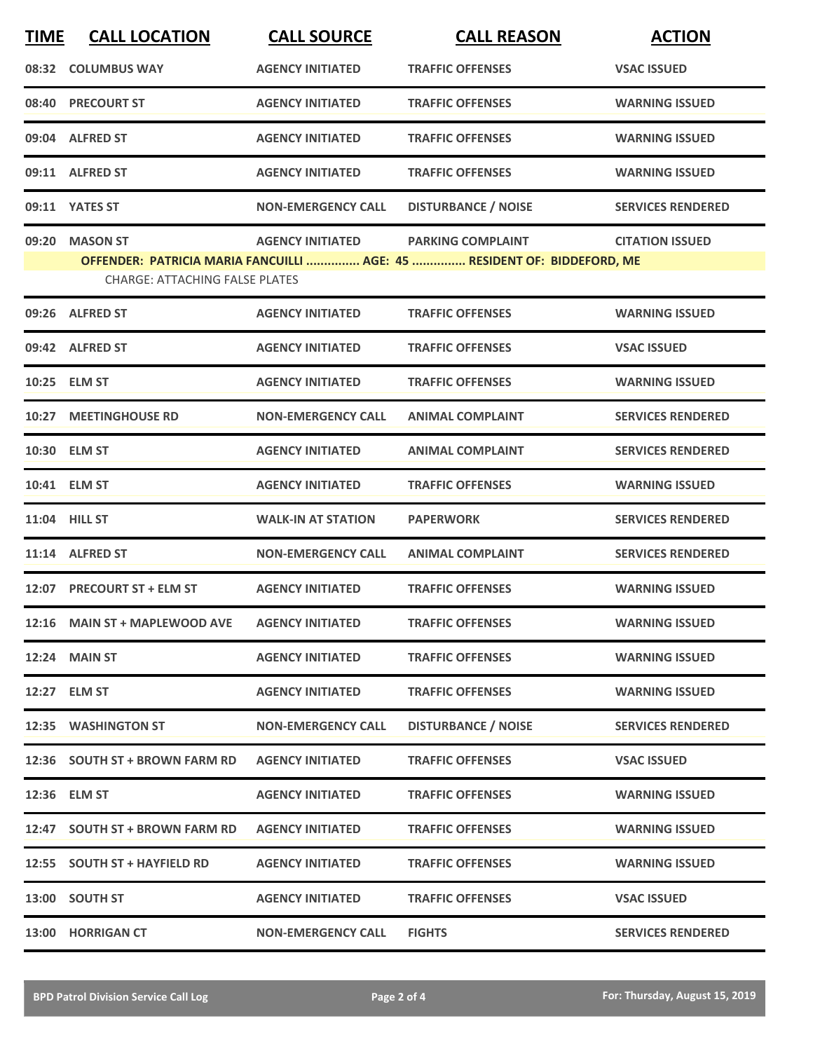| <b>TIME</b> | <b>CALL LOCATION</b>                                     | <b>CALL SOURCE</b>        | <b>CALL REASON</b>                                                                                  | <b>ACTION</b>            |
|-------------|----------------------------------------------------------|---------------------------|-----------------------------------------------------------------------------------------------------|--------------------------|
|             | 08:32 COLUMBUS WAY                                       | <b>AGENCY INITIATED</b>   | <b>TRAFFIC OFFENSES</b>                                                                             | <b>VSAC ISSUED</b>       |
|             | 08:40 PRECOURT ST                                        | <b>AGENCY INITIATED</b>   | <b>TRAFFIC OFFENSES</b>                                                                             | <b>WARNING ISSUED</b>    |
|             | 09:04 ALFRED ST                                          | <b>AGENCY INITIATED</b>   | <b>TRAFFIC OFFENSES</b>                                                                             | <b>WARNING ISSUED</b>    |
|             | 09:11 ALFRED ST                                          | <b>AGENCY INITIATED</b>   | <b>TRAFFIC OFFENSES</b>                                                                             | <b>WARNING ISSUED</b>    |
|             | 09:11 YATES ST                                           | <b>NON-EMERGENCY CALL</b> | <b>DISTURBANCE / NOISE</b>                                                                          | <b>SERVICES RENDERED</b> |
| 09:20       | <b>MASON ST</b><br><b>CHARGE: ATTACHING FALSE PLATES</b> | <b>AGENCY INITIATED</b>   | <b>PARKING COMPLAINT</b><br>OFFENDER: PATRICIA MARIA FANCUILLI  AGE: 45  RESIDENT OF: BIDDEFORD, ME | <b>CITATION ISSUED</b>   |
|             | 09:26 ALFRED ST                                          | <b>AGENCY INITIATED</b>   | <b>TRAFFIC OFFENSES</b>                                                                             | <b>WARNING ISSUED</b>    |
|             | 09:42 ALFRED ST                                          | <b>AGENCY INITIATED</b>   | <b>TRAFFIC OFFENSES</b>                                                                             | <b>VSAC ISSUED</b>       |
|             | 10:25 ELM ST                                             | <b>AGENCY INITIATED</b>   | <b>TRAFFIC OFFENSES</b>                                                                             | <b>WARNING ISSUED</b>    |
| 10:27       | <b>MEETINGHOUSE RD</b>                                   | <b>NON-EMERGENCY CALL</b> | <b>ANIMAL COMPLAINT</b>                                                                             | <b>SERVICES RENDERED</b> |
|             | 10:30 ELM ST                                             | <b>AGENCY INITIATED</b>   | <b>ANIMAL COMPLAINT</b>                                                                             | <b>SERVICES RENDERED</b> |
|             | 10:41 ELM ST                                             | <b>AGENCY INITIATED</b>   | <b>TRAFFIC OFFENSES</b>                                                                             | <b>WARNING ISSUED</b>    |
|             | 11:04 HILL ST                                            | <b>WALK-IN AT STATION</b> | <b>PAPERWORK</b>                                                                                    | <b>SERVICES RENDERED</b> |
|             | 11:14 ALFRED ST                                          | <b>NON-EMERGENCY CALL</b> | <b>ANIMAL COMPLAINT</b>                                                                             | <b>SERVICES RENDERED</b> |
|             | 12:07 PRECOURT ST + ELM ST                               | <b>AGENCY INITIATED</b>   | <b>TRAFFIC OFFENSES</b>                                                                             | <b>WARNING ISSUED</b>    |
|             | 12:16 MAIN ST + MAPLEWOOD AVE                            | <b>AGENCY INITIATED</b>   | <b>TRAFFIC OFFENSES</b>                                                                             | <b>WARNING ISSUED</b>    |
|             | <b>12:24 MAIN ST</b>                                     | <b>AGENCY INITIATED</b>   | <b>TRAFFIC OFFENSES</b>                                                                             | <b>WARNING ISSUED</b>    |
|             | 12:27 ELM ST                                             | <b>AGENCY INITIATED</b>   | <b>TRAFFIC OFFENSES</b>                                                                             | <b>WARNING ISSUED</b>    |
|             | 12:35 WASHINGTON ST                                      | <b>NON-EMERGENCY CALL</b> | <b>DISTURBANCE / NOISE</b>                                                                          | <b>SERVICES RENDERED</b> |
|             | 12:36 SOUTH ST + BROWN FARM RD                           | <b>AGENCY INITIATED</b>   | <b>TRAFFIC OFFENSES</b>                                                                             | <b>VSAC ISSUED</b>       |
|             | 12:36 ELM ST                                             | <b>AGENCY INITIATED</b>   | <b>TRAFFIC OFFENSES</b>                                                                             | <b>WARNING ISSUED</b>    |
|             | 12:47 SOUTH ST + BROWN FARM RD                           | <b>AGENCY INITIATED</b>   | <b>TRAFFIC OFFENSES</b>                                                                             | <b>WARNING ISSUED</b>    |
|             | 12:55 SOUTH ST + HAYFIELD RD                             | <b>AGENCY INITIATED</b>   | <b>TRAFFIC OFFENSES</b>                                                                             | <b>WARNING ISSUED</b>    |
|             | 13:00 SOUTH ST                                           | <b>AGENCY INITIATED</b>   | <b>TRAFFIC OFFENSES</b>                                                                             | <b>VSAC ISSUED</b>       |
|             | 13:00 HORRIGAN CT                                        | <b>NON-EMERGENCY CALL</b> | <b>FIGHTS</b>                                                                                       | <b>SERVICES RENDERED</b> |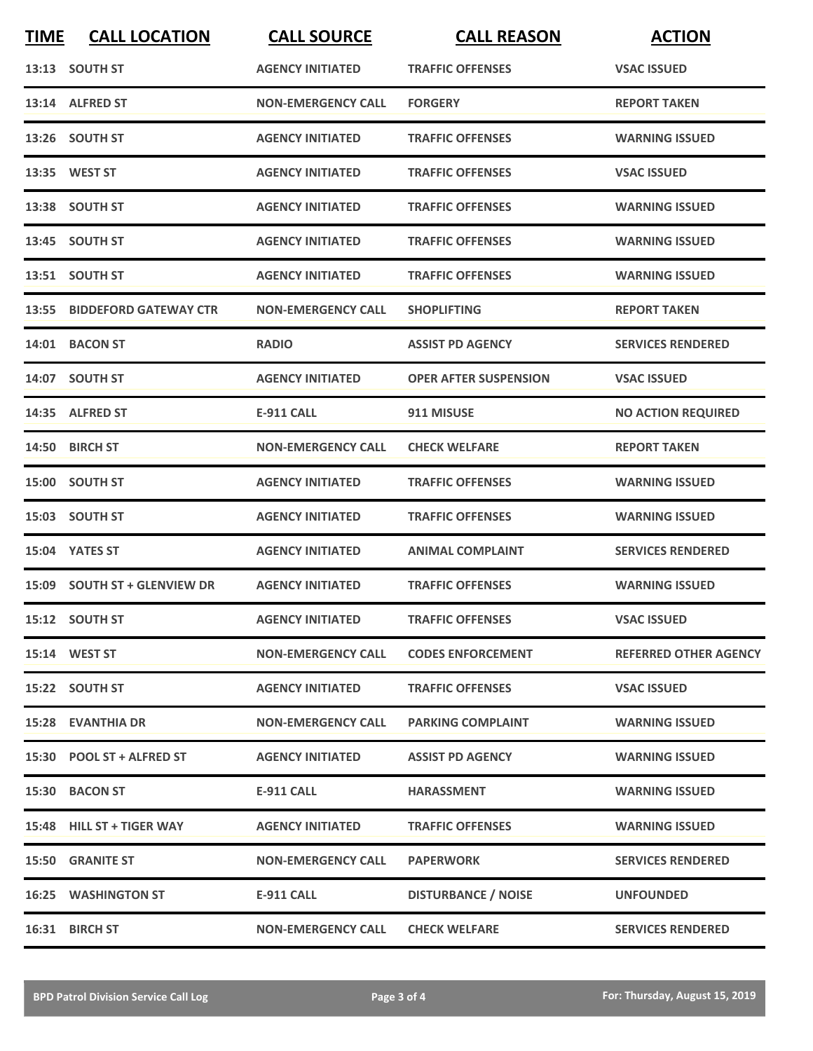| <b>TIME</b> | <b>CALL LOCATION</b>         | <b>CALL SOURCE</b>        | <b>CALL REASON</b>           | <b>ACTION</b>                |
|-------------|------------------------------|---------------------------|------------------------------|------------------------------|
|             | 13:13 SOUTH ST               | <b>AGENCY INITIATED</b>   | <b>TRAFFIC OFFENSES</b>      | <b>VSAC ISSUED</b>           |
|             | 13:14 ALFRED ST              | <b>NON-EMERGENCY CALL</b> | <b>FORGERY</b>               | <b>REPORT TAKEN</b>          |
|             | 13:26 SOUTH ST               | <b>AGENCY INITIATED</b>   | <b>TRAFFIC OFFENSES</b>      | <b>WARNING ISSUED</b>        |
|             | 13:35 WEST ST                | <b>AGENCY INITIATED</b>   | <b>TRAFFIC OFFENSES</b>      | <b>VSAC ISSUED</b>           |
|             | 13:38 SOUTH ST               | <b>AGENCY INITIATED</b>   | <b>TRAFFIC OFFENSES</b>      | <b>WARNING ISSUED</b>        |
|             | 13:45 SOUTH ST               | <b>AGENCY INITIATED</b>   | <b>TRAFFIC OFFENSES</b>      | <b>WARNING ISSUED</b>        |
|             | 13:51 SOUTH ST               | <b>AGENCY INITIATED</b>   | <b>TRAFFIC OFFENSES</b>      | <b>WARNING ISSUED</b>        |
|             | 13:55 BIDDEFORD GATEWAY CTR  | <b>NON-EMERGENCY CALL</b> | <b>SHOPLIFTING</b>           | <b>REPORT TAKEN</b>          |
|             | 14:01 BACON ST               | <b>RADIO</b>              | <b>ASSIST PD AGENCY</b>      | <b>SERVICES RENDERED</b>     |
|             | 14:07 SOUTH ST               | <b>AGENCY INITIATED</b>   | <b>OPER AFTER SUSPENSION</b> | <b>VSAC ISSUED</b>           |
|             | 14:35 ALFRED ST              | <b>E-911 CALL</b>         | 911 MISUSE                   | <b>NO ACTION REQUIRED</b>    |
|             | 14:50 BIRCH ST               | <b>NON-EMERGENCY CALL</b> | <b>CHECK WELFARE</b>         | <b>REPORT TAKEN</b>          |
|             | 15:00 SOUTH ST               | <b>AGENCY INITIATED</b>   | <b>TRAFFIC OFFENSES</b>      | <b>WARNING ISSUED</b>        |
|             | 15:03 SOUTH ST               | <b>AGENCY INITIATED</b>   | <b>TRAFFIC OFFENSES</b>      | <b>WARNING ISSUED</b>        |
|             | 15:04 YATES ST               | <b>AGENCY INITIATED</b>   | ANIMAL COMPLAINT             | <b>SERVICES RENDERED</b>     |
|             | 15:09 SOUTH ST + GLENVIEW DR | <b>AGENCY INITIATED</b>   | <b>TRAFFIC OFFENSES</b>      | <b>WARNING ISSUED</b>        |
|             | 15:12 SOUTH ST               | <b>AGENCY INITIATED</b>   | <b>TRAFFIC OFFENSES</b>      | <b>VSAC ISSUED</b>           |
|             | <b>15:14 WEST ST</b>         | <b>NON-EMERGENCY CALL</b> | <b>CODES ENFORCEMENT</b>     | <b>REFERRED OTHER AGENCY</b> |
|             | 15:22 SOUTH ST               | <b>AGENCY INITIATED</b>   | <b>TRAFFIC OFFENSES</b>      | <b>VSAC ISSUED</b>           |
|             | <b>15:28 EVANTHIA DR</b>     | <b>NON-EMERGENCY CALL</b> | <b>PARKING COMPLAINT</b>     | <b>WARNING ISSUED</b>        |
|             | 15:30 POOL ST + ALFRED ST    | <b>AGENCY INITIATED</b>   | <b>ASSIST PD AGENCY</b>      | <b>WARNING ISSUED</b>        |
|             | 15:30 BACON ST               | E-911 CALL                | <b>HARASSMENT</b>            | <b>WARNING ISSUED</b>        |
|             | 15:48 HILL ST + TIGER WAY    | <b>AGENCY INITIATED</b>   | <b>TRAFFIC OFFENSES</b>      | <b>WARNING ISSUED</b>        |
|             | <b>15:50 GRANITE ST</b>      | <b>NON-EMERGENCY CALL</b> | <b>PAPERWORK</b>             | <b>SERVICES RENDERED</b>     |
|             | <b>16:25 WASHINGTON ST</b>   | <b>E-911 CALL</b>         | <b>DISTURBANCE / NOISE</b>   | <b>UNFOUNDED</b>             |
|             | 16:31 BIRCH ST               | <b>NON-EMERGENCY CALL</b> | <b>CHECK WELFARE</b>         | <b>SERVICES RENDERED</b>     |